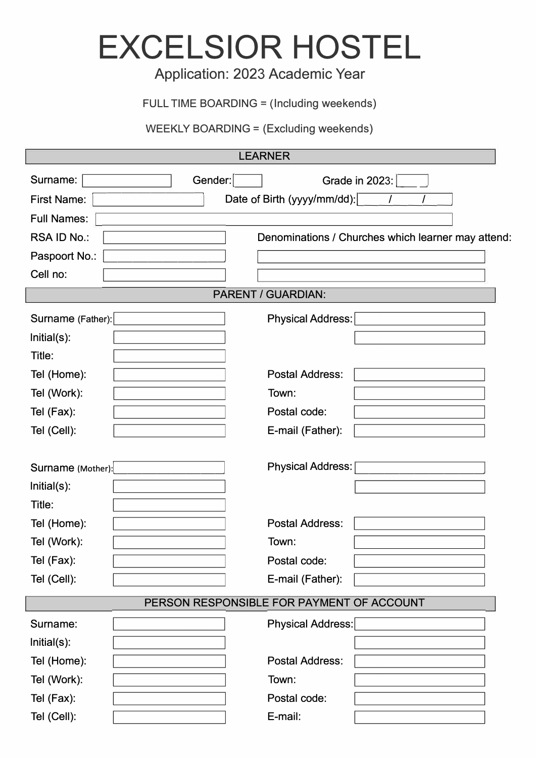## **EXCELSIOR HOSTEL**

## Application: 2023 Academic Year

FULL TIME BOARDING = (Including weekends)

WEEKLY BOARDING = (Excluding weekends)

| <b>LEARNER</b>                            |                                                    |  |
|-------------------------------------------|----------------------------------------------------|--|
| Surname:<br>Gender:                       | Grade in 2023:                                     |  |
| <b>First Name:</b>                        | Date of Birth (yyyy/mm/dd):                        |  |
| <b>Full Names:</b>                        |                                                    |  |
| RSA ID No.:                               | Denominations / Churches which learner may attend: |  |
| Paspoort No.:                             |                                                    |  |
| Cell no:                                  |                                                    |  |
| <b>PARENT / GUARDIAN:</b>                 |                                                    |  |
| Surname (Father):                         | Physical Address:                                  |  |
| Initial(s):                               |                                                    |  |
| Title:                                    |                                                    |  |
| Tel (Home):                               | <b>Postal Address:</b>                             |  |
| Tel (Work):                               | Town:                                              |  |
| Tel (Fax):                                | Postal code:                                       |  |
| Tel (Cell):                               | E-mail (Father):                                   |  |
|                                           |                                                    |  |
| Surname (Mother):                         | <b>Physical Address:</b>                           |  |
| Initial(s):                               |                                                    |  |
| Title:                                    |                                                    |  |
| Tel (Home):                               | <b>Postal Address:</b>                             |  |
| Tel (Work):                               | Town:                                              |  |
| Tel (Fax):                                | Postal code:                                       |  |
| Tel (Cell):                               | E-mail (Father):                                   |  |
| PERSON RESPONSIBLE FOR PAYMENT OF ACCOUNT |                                                    |  |
| Surname:                                  | Physical Address:                                  |  |
| Initial(s):                               |                                                    |  |
| Tel (Home):                               | <b>Postal Address:</b>                             |  |
| Tel (Work):                               | Town:                                              |  |
| Tel (Fax):                                | Postal code:                                       |  |
| Tel (Cell):                               | E-mail:                                            |  |